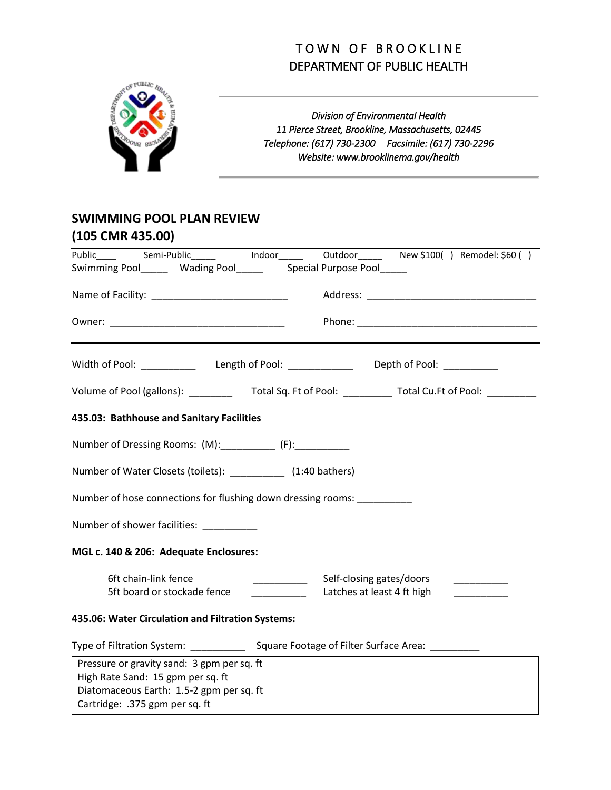## TOWN OF BROOKLINE DEPARTMENT OF PUBLIC HEALTH



*Division of Environmental Health 11 Pierce Street, Brookline, Massachusetts, 02445 Telephone: (617) 730-2300 Facsimile: (617) 730-2296 Website: www.brooklinema.gov/health*

## **SWIMMING POOL PLAN REVIEW (105 CMR 435.00)**

| Swimming Pool________ Wading Pool___________ Special Purpose Pool______       |                                                                                                                                                                                                                                                                                                                                                                                                                                                                                   |                             |
|-------------------------------------------------------------------------------|-----------------------------------------------------------------------------------------------------------------------------------------------------------------------------------------------------------------------------------------------------------------------------------------------------------------------------------------------------------------------------------------------------------------------------------------------------------------------------------|-----------------------------|
|                                                                               |                                                                                                                                                                                                                                                                                                                                                                                                                                                                                   |                             |
|                                                                               |                                                                                                                                                                                                                                                                                                                                                                                                                                                                                   |                             |
|                                                                               |                                                                                                                                                                                                                                                                                                                                                                                                                                                                                   |                             |
| Volume of Pool (gallons): Total Sq. Ft of Pool: Total Cu.Ft of Pool:          |                                                                                                                                                                                                                                                                                                                                                                                                                                                                                   |                             |
| 435.03: Bathhouse and Sanitary Facilities                                     |                                                                                                                                                                                                                                                                                                                                                                                                                                                                                   |                             |
| Number of Dressing Rooms: (M): ____________ (F): ___________                  |                                                                                                                                                                                                                                                                                                                                                                                                                                                                                   |                             |
| Number of Water Closets (toilets): ___________ (1:40 bathers)                 |                                                                                                                                                                                                                                                                                                                                                                                                                                                                                   |                             |
| Number of hose connections for flushing down dressing rooms: __________       |                                                                                                                                                                                                                                                                                                                                                                                                                                                                                   |                             |
| Number of shower facilities:                                                  |                                                                                                                                                                                                                                                                                                                                                                                                                                                                                   |                             |
| MGL c. 140 & 206: Adequate Enclosures:                                        |                                                                                                                                                                                                                                                                                                                                                                                                                                                                                   |                             |
| 6ft chain-link fence                                                          | Self-closing gates/doors<br>$\begin{tabular}{ccccc} \multicolumn{2}{c }{\textbf{1} & \multicolumn{2}{c }{\textbf{2} & \multicolumn{2}{c }{\textbf{3} & \multicolumn{2}{c }{\textbf{4} & \multicolumn{2}{c }{\textbf{5} & \multicolumn{2}{c }{\textbf{6} & \multicolumn{2}{c }{\textbf{6} & \multicolumn{2}{c }{\textbf{6} & \multicolumn{2}{c }{\textbf{6} & \multicolumn{2}{c }{\textbf{6} & \multicolumn{2}{c }{\textbf{6} & \multicolumn{2}{c }{\textbf{6} & \multicolumn{2}{$ |                             |
| 5ft board or stockade fence                                                   | Latches at least 4 ft high<br><b>Contract Contract Contract</b>                                                                                                                                                                                                                                                                                                                                                                                                                   | <u> 1999 - Andrea State</u> |
| 435.06: Water Circulation and Filtration Systems:                             |                                                                                                                                                                                                                                                                                                                                                                                                                                                                                   |                             |
|                                                                               |                                                                                                                                                                                                                                                                                                                                                                                                                                                                                   |                             |
| Pressure or gravity sand: 3 gpm per sq. ft                                    |                                                                                                                                                                                                                                                                                                                                                                                                                                                                                   |                             |
| High Rate Sand: 15 gpm per sq. ft<br>Diatomaceous Earth: 1.5-2 gpm per sq. ft |                                                                                                                                                                                                                                                                                                                                                                                                                                                                                   |                             |
| Cartridge: .375 gpm per sq. ft                                                |                                                                                                                                                                                                                                                                                                                                                                                                                                                                                   |                             |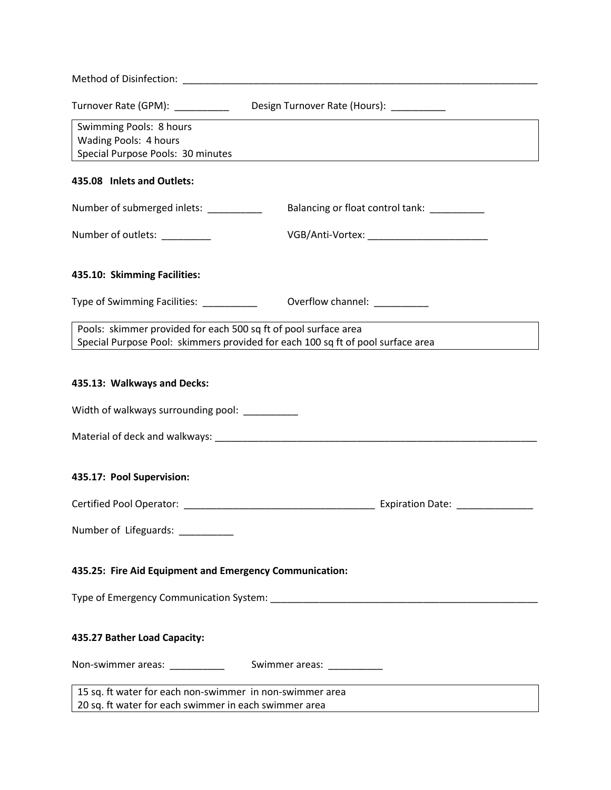| Method of Disinfection: Nethod Services and Services and Services and Services and Services and Services and S    |                                                                                 |  |
|-------------------------------------------------------------------------------------------------------------------|---------------------------------------------------------------------------------|--|
| Turnover Rate (GPM): __________                                                                                   | Design Turnover Rate (Hours): __________                                        |  |
| Swimming Pools: 8 hours<br>Wading Pools: 4 hours<br>Special Purpose Pools: 30 minutes                             |                                                                                 |  |
| 435.08 Inlets and Outlets:                                                                                        |                                                                                 |  |
| Number of submerged inlets: __________                                                                            | Balancing or float control tank: __________                                     |  |
| Number of outlets: _________                                                                                      | VGB/Anti-Vortex: ___________________________                                    |  |
| 435.10: Skimming Facilities:                                                                                      |                                                                                 |  |
| Type of Swimming Facilities: [1983]                                                                               | Overflow channel: _________                                                     |  |
| Pools: skimmer provided for each 500 sq ft of pool surface area                                                   | Special Purpose Pool: skimmers provided for each 100 sq ft of pool surface area |  |
| 435.13: Walkways and Decks:                                                                                       |                                                                                 |  |
| Width of walkways surrounding pool: _________                                                                     |                                                                                 |  |
|                                                                                                                   |                                                                                 |  |
| 435.17: Pool Supervision:                                                                                         |                                                                                 |  |
|                                                                                                                   |                                                                                 |  |
| Number of Lifeguards:                                                                                             |                                                                                 |  |
| 435.25: Fire Aid Equipment and Emergency Communication:                                                           |                                                                                 |  |
|                                                                                                                   |                                                                                 |  |
| 435.27 Bather Load Capacity:                                                                                      |                                                                                 |  |
|                                                                                                                   |                                                                                 |  |
| 15 sq. ft water for each non-swimmer in non-swimmer area<br>20 sq. ft water for each swimmer in each swimmer area |                                                                                 |  |